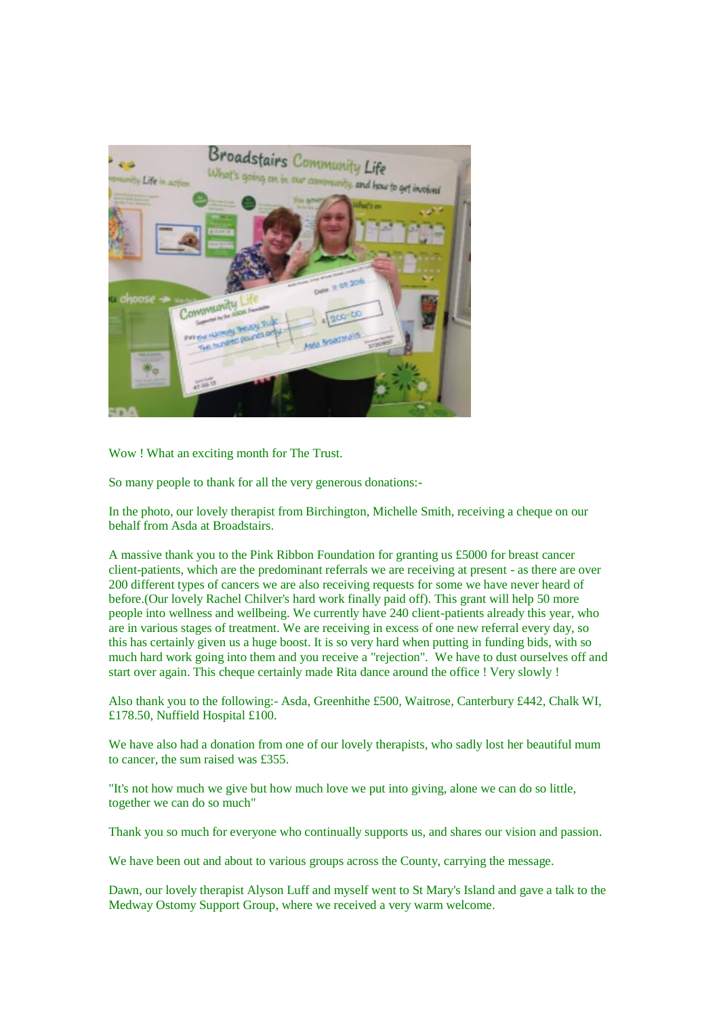

Wow ! What an exciting month for The Trust.

So many people to thank for all the very generous donations:-

In the photo, our lovely therapist from Birchington, Michelle Smith, receiving a cheque on our behalf from Asda at Broadstairs.

A massive thank you to the Pink Ribbon Foundation for granting us £5000 for breast cancer client-patients, which are the predominant referrals we are receiving at present - as there are over 200 different types of cancers we are also receiving requests for some we have never heard of before.(Our lovely Rachel Chilver's hard work finally paid off). This grant will help 50 more people into wellness and wellbeing. We currently have 240 client-patients already this year, who are in various stages of treatment. We are receiving in excess of one new referral every day, so this has certainly given us a huge boost. It is so very hard when putting in funding bids, with so much hard work going into them and you receive a "rejection". We have to dust ourselves off and start over again. This cheque certainly made Rita dance around the office ! Very slowly !

Also thank you to the following:- Asda, Greenhithe £500, Waitrose, Canterbury £442, Chalk WI, £178.50, Nuffield Hospital £100.

We have also had a donation from one of our lovely therapists, who sadly lost her beautiful mum to cancer, the sum raised was £355.

"It's not how much we give but how much love we put into giving, alone we can do so little, together we can do so much"

Thank you so much for everyone who continually supports us, and shares our vision and passion.

We have been out and about to various groups across the County, carrying the message.

Dawn, our lovely therapist Alyson Luff and myself went to St Mary's Island and gave a talk to the Medway Ostomy Support Group, where we received a very warm welcome.